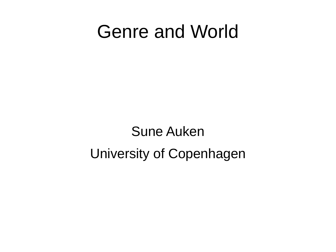#### Genre and World

#### Sune Auken University of Copenhagen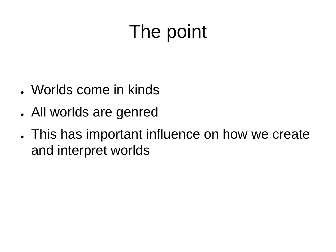# The point

- . Worlds come in kinds
- . All worlds are genred
- . This has important influence on how we create and interpret worlds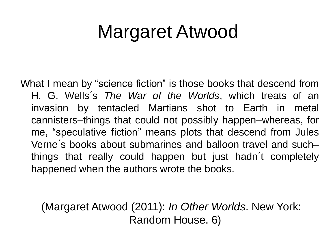### Margaret Atwood

What I mean by "science fiction" is those books that descend from H. G. Wells´s *The War of the Worlds*, which treats of an invasion by tentacled Martians shot to Earth in metal cannisters–things that could not possibly happen–whereas, for me, "speculative fiction" means plots that descend from Jules Verne´s books about submarines and balloon travel and such– things that really could happen but just hadn´t completely happened when the authors wrote the books.

(Margaret Atwood (2011): *In Other Worlds*. New York: Random House. 6)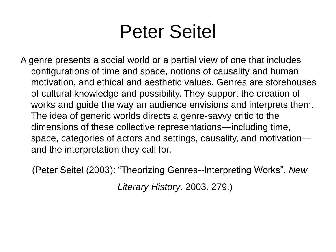#### Peter Seitel

A genre presents a social world or a partial view of one that includes configurations of time and space, notions of causality and human motivation, and ethical and aesthetic values. Genres are storehouses of cultural knowledge and possibility. They support the creation of works and guide the way an audience envisions and interprets them. The idea of generic worlds directs a genre-savvy critic to the dimensions of these collective representations—including time, space, categories of actors and settings, causality, and motivation and the interpretation they call for.

(Peter Seitel (2003): "Theorizing Genres--Interpreting Works". *New* 

*Literary History*. 2003. 279.)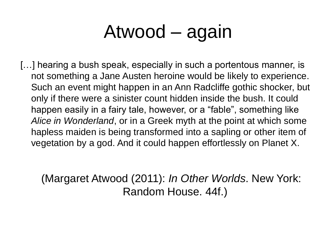### Atwood – again

[...] hearing a bush speak, especially in such a portentous manner, is not something a Jane Austen heroine would be likely to experience. Such an event might happen in an Ann Radcliffe gothic shocker, but only if there were a sinister count hidden inside the bush. It could happen easily in a fairy tale, however, or a "fable", something like *Alice in Wonderland*, or in a Greek myth at the point at which some hapless maiden is being transformed into a sapling or other item of vegetation by a god. And it could happen effortlessly on Planet X.

(Margaret Atwood (2011): *In Other Worlds*. New York: Random House. 44f.)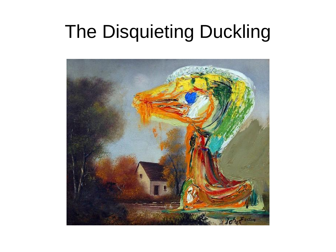### The Disquieting Duckling

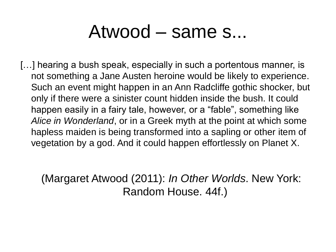#### Atwood – same s...

[...] hearing a bush speak, especially in such a portentous manner, is not something a Jane Austen heroine would be likely to experience. Such an event might happen in an Ann Radcliffe gothic shocker, but only if there were a sinister count hidden inside the bush. It could happen easily in a fairy tale, however, or a "fable", something like *Alice in Wonderland*, or in a Greek myth at the point at which some hapless maiden is being transformed into a sapling or other item of vegetation by a god. And it could happen effortlessly on Planet X.

(Margaret Atwood (2011): *In Other Worlds*. New York: Random House. 44f.)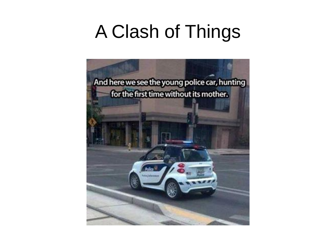# A Clash of Things